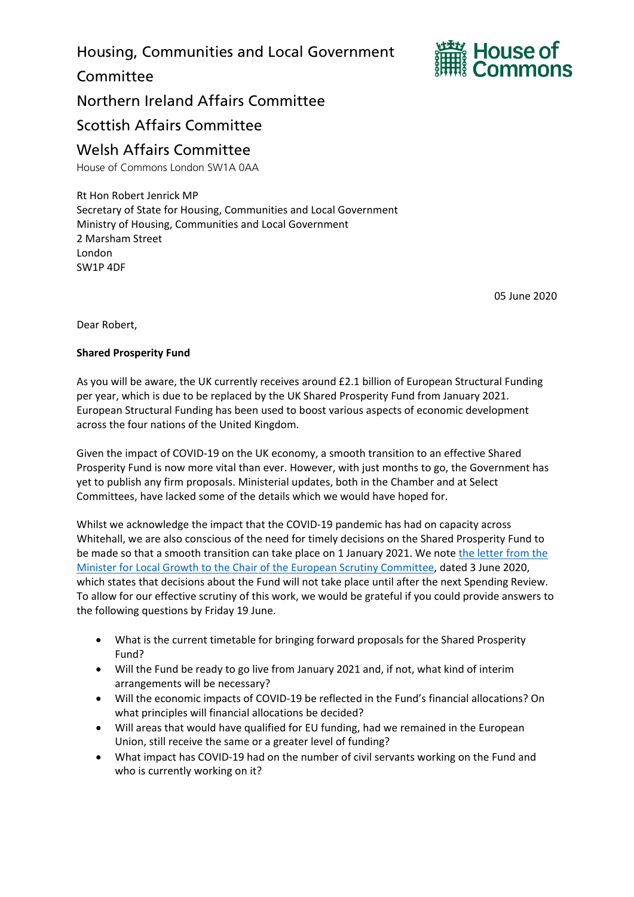Housing, Communities and Local Government

**Committee** 



Northern Ireland Affairs Committee

Scottish Affairs Committee

## Welsh Affairs Committee

House of Commons London SW1A 0AA

Rt Hon Robert Jenrick MP Secretary of State for Housing, Communities and Local Government Ministry of Housing, Communities and Local Government 2 Marsham Street London SW1P 4DF

05 June 2020

Dear Robert,

## **Shared Prosperity Fund**

As you will be aware, the UK currently receives around £2.1 billion of European Structural Funding per year, which is due to be replaced by the UK Shared Prosperity Fund from January 2021. European Structural Funding has been used to boost various aspects of economic development across the four nations of the United Kingdom.

Given the impact of COVID-19 on the UK economy, a smooth transition to an effective Shared Prosperity Fund is now more vital than ever. However, with just months to go, the Government has yet to publish any firm proposals. Ministerial updates, both in the Chamber and at Select Committees, have lacked some of the details which we would have hoped for.

Whilst we acknowledge the impact that the COVID-19 pandemic has had on capacity across Whitehall, we are also conscious of the need for timely decisions on the Shared Prosperity Fund to be made so that a smooth transition can take place on 1 January 2021. We note [the letter from the](http://europeanmemoranda.cabinetoffice.gov.uk/files/2020/06/200603_SC_Sir_William_Cash_MP_Letter.pdf)  [Minister for Local Growth to the Chair of the European Scrutiny Committee,](http://europeanmemoranda.cabinetoffice.gov.uk/files/2020/06/200603_SC_Sir_William_Cash_MP_Letter.pdf) dated 3 June 2020, which states that decisions about the Fund will not take place until after the next Spending Review. To allow for our effective scrutiny of this work, we would be grateful if you could provide answers to the following questions by Friday 19 June.

- What is the current timetable for bringing forward proposals for the Shared Prosperity Fund?
- Will the Fund be ready to go live from January 2021 and, if not, what kind of interim arrangements will be necessary?
- Will the economic impacts of COVID-19 be reflected in the Fund's financial allocations? On what principles will financial allocations be decided?
- Will areas that would have qualified for EU funding, had we remained in the European Union, still receive the same or a greater level of funding?
- What impact has COVID-19 had on the number of civil servants working on the Fund and who is currently working on it?